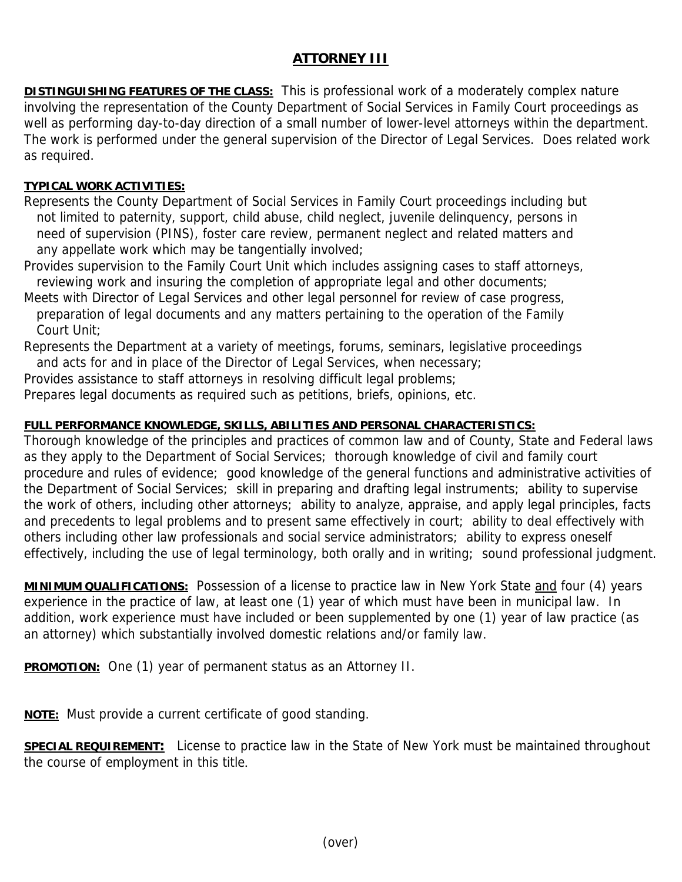## **ATTORNEY III**

**DISTINGUISHING FEATURES OF THE CLASS:** This is professional work of a moderately complex nature involving the representation of the County Department of Social Services in Family Court proceedings as well as performing day-to-day direction of a small number of lower-level attorneys within the department. The work is performed under the general supervision of the Director of Legal Services. Does related work as required.

## **TYPICAL WORK ACTIVITIES:**

Represents the County Department of Social Services in Family Court proceedings including but not limited to paternity, support, child abuse, child neglect, juvenile delinquency, persons in need of supervision (PINS), foster care review, permanent neglect and related matters and any appellate work which may be tangentially involved;

Provides supervision to the Family Court Unit which includes assigning cases to staff attorneys, reviewing work and insuring the completion of appropriate legal and other documents;

Meets with Director of Legal Services and other legal personnel for review of case progress,

 preparation of legal documents and any matters pertaining to the operation of the Family Court Unit;

Represents the Department at a variety of meetings, forums, seminars, legislative proceedings and acts for and in place of the Director of Legal Services, when necessary;

Provides assistance to staff attorneys in resolving difficult legal problems;

Prepares legal documents as required such as petitions, briefs, opinions, etc.

## **FULL PERFORMANCE KNOWLEDGE, SKILLS, ABILITIES AND PERSONAL CHARACTERISTICS:**

Thorough knowledge of the principles and practices of common law and of County, State and Federal laws as they apply to the Department of Social Services; thorough knowledge of civil and family court procedure and rules of evidence; good knowledge of the general functions and administrative activities of the Department of Social Services; skill in preparing and drafting legal instruments; ability to supervise the work of others, including other attorneys; ability to analyze, appraise, and apply legal principles, facts and precedents to legal problems and to present same effectively in court; ability to deal effectively with others including other law professionals and social service administrators; ability to express oneself effectively, including the use of legal terminology, both orally and in writing; sound professional judgment.

**MINIMUM QUALIFICATIONS:** Possession of a license to practice law in New York State and four (4) years experience in the practice of law, at least one (1) year of which must have been in municipal law. In addition, work experience must have included or been supplemented by one (1) year of law practice (as an attorney) which substantially involved domestic relations and/or family law.

**PROMOTION:** One (1) year of permanent status as an Attorney II.

**NOTE:** Must provide a current certificate of good standing.

**SPECIAL REQUIREMENT:** License to practice law in the State of New York must be maintained throughout the course of employment in this title.